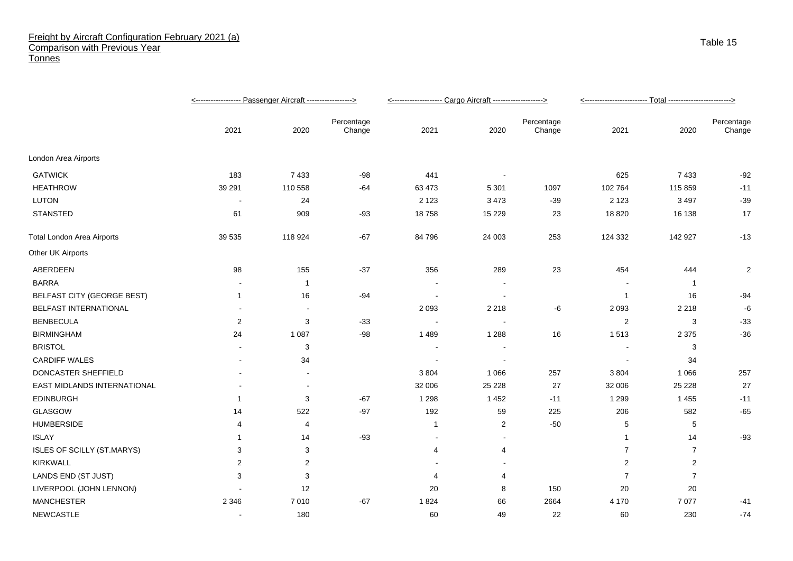## Freight by Aircraft Configuration February 2021 (a) Comparison with Previous Year **Tonnes**

|                                   |              |                |                      | <-------------------- Cargo Aircraft -------------------> |                |                      |                |                |                      |
|-----------------------------------|--------------|----------------|----------------------|-----------------------------------------------------------|----------------|----------------------|----------------|----------------|----------------------|
|                                   | 2021         | 2020           | Percentage<br>Change | 2021                                                      | 2020           | Percentage<br>Change | 2021           | 2020           | Percentage<br>Change |
| London Area Airports              |              |                |                      |                                                           |                |                      |                |                |                      |
| <b>GATWICK</b>                    | 183          | 7 4 3 3        | $-98$                | 441                                                       | $\sim$         |                      | 625            | 7433           | $-92$                |
| <b>HEATHROW</b>                   | 39 291       | 110 558        | -64                  | 63 473                                                    | 5 3 0 1        | 1097                 | 102 764        | 115 859        | $-11$                |
| <b>LUTON</b>                      | $\sim$       | 24             |                      | 2 1 2 3                                                   | 3 4 7 3        | $-39$                | 2 1 2 3        | 3 4 9 7        | $-39$                |
| <b>STANSTED</b>                   | 61           | 909            | $-93$                | 18758                                                     | 15 2 29        | 23                   | 18 8 20        | 16 138         | 17                   |
| <b>Total London Area Airports</b> | 39 535       | 118 924        | $-67$                | 84 796                                                    | 24 003         | 253                  | 124 332        | 142 927        | $-13$                |
| Other UK Airports                 |              |                |                      |                                                           |                |                      |                |                |                      |
| ABERDEEN                          | 98           | 155            | $-37$                | 356                                                       | 289            | 23                   | 454            | 444            | $\overline{2}$       |
| <b>BARRA</b>                      |              | $\overline{1}$ |                      |                                                           |                |                      |                | $\overline{1}$ |                      |
| <b>BELFAST CITY (GEORGE BEST)</b> | $\mathbf{1}$ | 16             | $-94$                |                                                           | $\blacksquare$ |                      | $\overline{1}$ | 16             | $-94$                |
| BELFAST INTERNATIONAL             |              |                |                      | 2 0 9 3                                                   | 2 2 1 8        | -6                   | 2 0 9 3        | 2 2 1 8        | -6                   |
| <b>BENBECULA</b>                  | 2            | 3              | $-33$                |                                                           | $\blacksquare$ |                      | $\overline{2}$ | 3              | $-33$                |
| <b>BIRMINGHAM</b>                 | 24           | 1 0 8 7        | $-98$                | 1489                                                      | 1 2 8 8        | 16                   | 1513           | 2 3 7 5        | $-36$                |
| <b>BRISTOL</b>                    |              | 3              |                      |                                                           |                |                      |                | 3              |                      |
| <b>CARDIFF WALES</b>              |              | 34             |                      |                                                           | $\blacksquare$ |                      |                | 34             |                      |
| DONCASTER SHEFFIELD               |              |                |                      | 3 8 0 4                                                   | 1 0 6 6        | 257                  | 3 8 0 4        | 1 0 6 6        | 257                  |
| EAST MIDLANDS INTERNATIONAL       |              | $\blacksquare$ |                      | 32 006                                                    | 25 2 28        | 27                   | 32 006         | 25 2 28        | 27                   |
| <b>EDINBURGH</b>                  | 1            | 3              | $-67$                | 1 2 9 8                                                   | 1 4 5 2        | $-11$                | 1 2 9 9        | 1 4 5 5        | $-11$                |
| GLASGOW                           | 14           | 522            | $-97$                | 192                                                       | 59             | 225                  | 206            | 582            | $-65$                |
| <b>HUMBERSIDE</b>                 | 4            | 4              |                      | $\mathbf{1}$                                              | 2              | $-50$                | 5              | 5              |                      |
| <b>ISLAY</b>                      | 1            | 14             | $-93$                |                                                           | $\blacksquare$ |                      | -1             | 14             | $-93$                |
| ISLES OF SCILLY (ST.MARYS)        | 3            | 3              |                      | $\overline{4}$                                            | 4              |                      | $\overline{7}$ | $\overline{7}$ |                      |
| <b>KIRKWALL</b>                   | 2            | $\overline{2}$ |                      |                                                           |                |                      | 2              | 2              |                      |
| LANDS END (ST JUST)               | 3            | 3              |                      | 4                                                         | 4              |                      | $\overline{7}$ | $\overline{7}$ |                      |
| LIVERPOOL (JOHN LENNON)           |              | 12             |                      | 20                                                        | 8              | 150                  | 20             | 20             |                      |
| <b>MANCHESTER</b>                 | 2 3 4 6      | 7010           | $-67$                | 1824                                                      | 66             | 2664                 | 4 170          | 7077           | $-41$                |
| <b>NEWCASTLE</b>                  |              | 180            |                      | 60                                                        | 49             | 22                   | 60             | 230            | $-74$                |